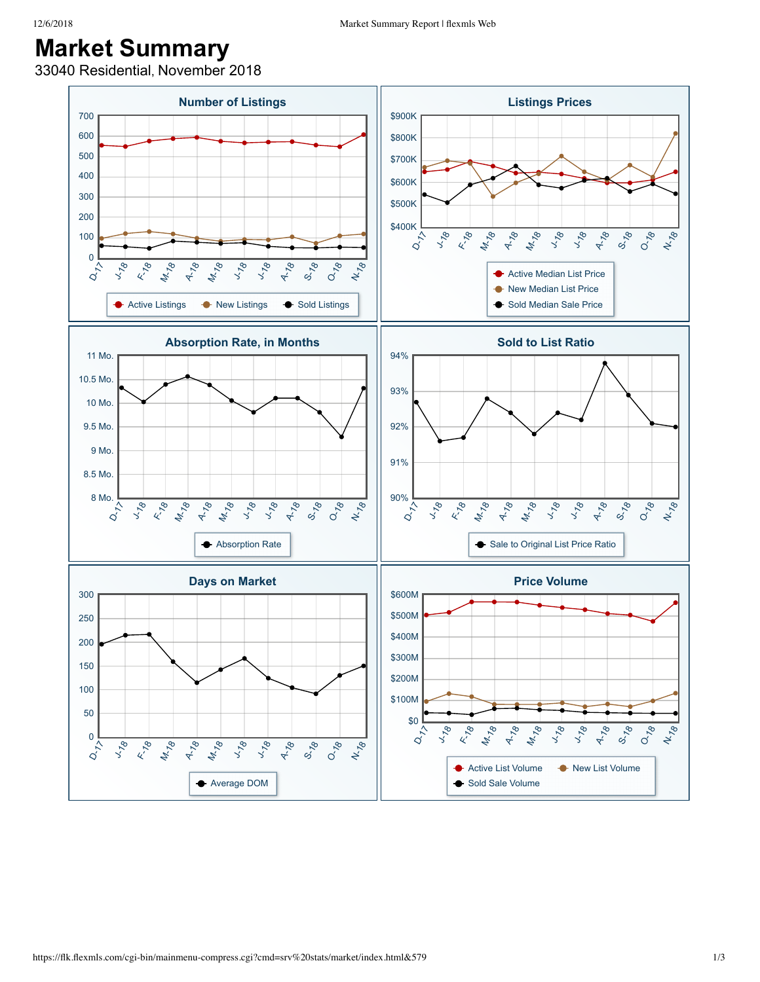## **Market Summary**

33040 Residential, November 2018

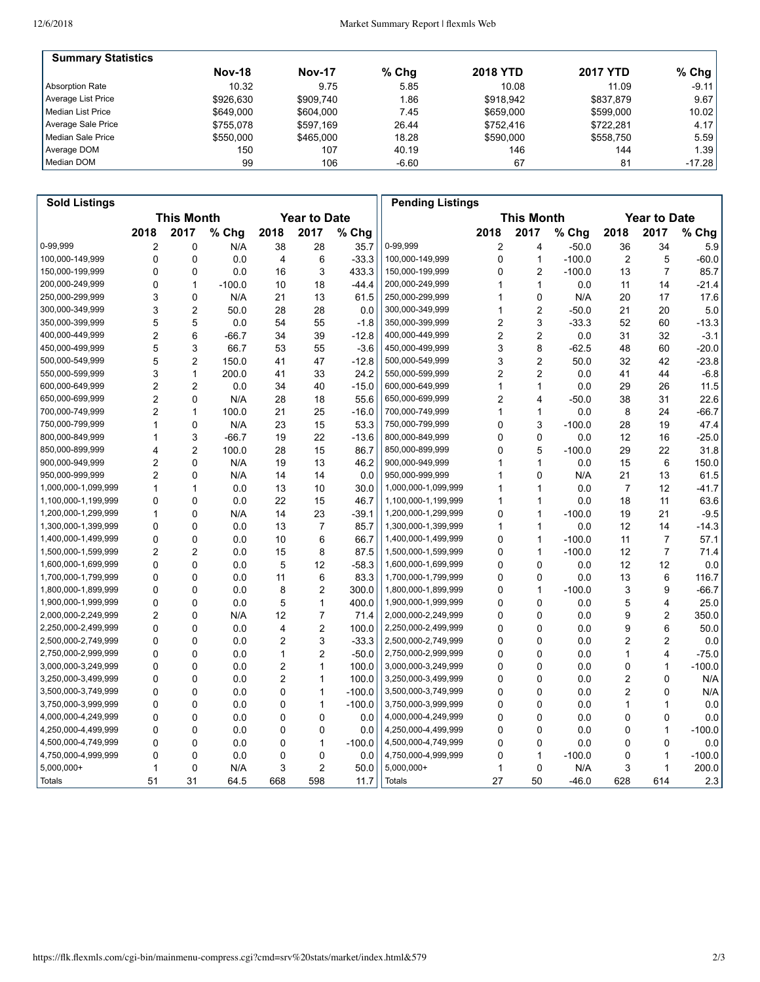| <b>Summary Statistics</b> |               |               |         |                 |                 |          |
|---------------------------|---------------|---------------|---------|-----------------|-----------------|----------|
|                           | <b>Nov-18</b> | <b>Nov-17</b> | $%$ Chg | <b>2018 YTD</b> | <b>2017 YTD</b> | % Chg    |
| Absorption Rate           | 10.32         | 9.75          | 5.85    | 10.08           | 11.09           | $-9.11$  |
| Average List Price        | \$926.630     | \$909.740     | 1.86    | \$918.942       | \$837.879       | 9.67     |
| l Median List Price       | \$649,000     | \$604.000     | 7.45    | \$659,000       | \$599,000       | 10.02    |
| Average Sale Price        | \$755.078     | \$597.169     | 26.44   | \$752.416       | \$722.281       | 4.17     |
| Median Sale Price         | \$550,000     | \$465,000     | 18.28   | \$590,000       | \$558.750       | 5.59     |
| Average DOM               | 150           | 107           | 40.19   | 146             | 144             | 1.39     |
| Median DOM                | 99            | 106           | $-6.60$ | 67              | 81              | $-17.28$ |

| <b>Sold Listings</b> |                                          |                |          |                |                   |          | <b>Pending Listings</b> |      |                         |                     |      |                |          |
|----------------------|------------------------------------------|----------------|----------|----------------|-------------------|----------|-------------------------|------|-------------------------|---------------------|------|----------------|----------|
|                      | <b>This Month</b><br><b>Year to Date</b> |                |          |                | <b>This Month</b> |          |                         |      |                         | <b>Year to Date</b> |      |                |          |
|                      | 2018                                     | 2017           | % Chg    | 2018           | 2017              | % Chg    |                         | 2018 | 2017                    | $%$ Chg             | 2018 | 2017           | % Chg    |
| 0-99,999             | 2                                        | 0              | N/A      | 38             | 28                | 35.7     | 0-99,999                | 2    | 4                       | $-50.0$             | 36   | 34             | 5.9      |
| 100,000-149,999      | 0                                        | $\mathbf 0$    | 0.0      | 4              | 6                 | $-33.3$  | 100,000-149,999         | 0    | $\mathbf{1}$            | $-100.0$            | 2    | 5              | $-60.0$  |
| 150,000-199,999      | 0                                        | 0              | 0.0      | 16             | 3                 | 433.3    | 150,000-199,999         | 0    | $\overline{c}$          | $-100.0$            | 13   | $\overline{7}$ | 85.7     |
| 200,000-249,999      | 0                                        | $\mathbf{1}$   | $-100.0$ | 10             | 18                | $-44.4$  | 200,000-249,999         | 1    | $\mathbf{1}$            | 0.0                 | 11   | 14             | $-21.4$  |
| 250,000-299,999      | 3                                        | $\mathbf 0$    | N/A      | 21             | 13                | 61.5     | 250,000-299,999         | 1    | $\mathbf 0$             | N/A                 | 20   | 17             | 17.6     |
| 300,000-349,999      | 3                                        | $\overline{2}$ | 50.0     | 28             | 28                | 0.0      | 300,000-349,999         | 1    | $\overline{2}$          | $-50.0$             | 21   | 20             | 5.0      |
| 350,000-399,999      | 5                                        | 5              | 0.0      | 54             | 55                | $-1.8$   | 350,000-399,999         | 2    | 3                       | $-33.3$             | 52   | 60             | $-13.3$  |
| 400,000-449,999      | $\overline{2}$                           | 6              | $-66.7$  | 34             | 39                | $-12.8$  | 400,000-449,999         | 2    | $\overline{\mathbf{c}}$ | 0.0                 | 31   | 32             | $-3.1$   |
| 450,000-499,999      | 5                                        | 3              | 66.7     | 53             | 55                | $-3.6$   | 450,000-499,999         | 3    | 8                       | $-62.5$             | 48   | 60             | $-20.0$  |
| 500,000-549,999      | 5                                        | $\overline{2}$ | 150.0    | 41             | 47                | $-12.8$  | 500,000-549,999         | 3    | $\overline{c}$          | 50.0                | 32   | 42             | $-23.8$  |
| 550,000-599,999      | 3                                        | $\mathbf{1}$   | 200.0    | 41             | 33                | 24.2     | 550,000-599,999         | 2    | $\overline{2}$          | 0.0                 | 41   | 44             | $-6.8$   |
| 600,000-649,999      | $\overline{2}$                           | $\overline{2}$ | 0.0      | 34             | 40                | $-15.0$  | 600,000-649,999         | 1    | $\mathbf{1}$            | 0.0                 | 29   | 26             | 11.5     |
| 650,000-699,999      | $\overline{2}$                           | $\mathbf 0$    | N/A      | 28             | 18                | 55.6     | 650,000-699,999         | 2    | 4                       | $-50.0$             | 38   | 31             | 22.6     |
| 700,000-749,999      | $\overline{2}$                           | $\mathbf{1}$   | 100.0    | 21             | 25                | $-16.0$  | 700,000-749,999         | 1    | $\mathbf{1}$            | 0.0                 | 8    | 24             | $-66.7$  |
| 750,000-799,999      | 1                                        | $\mathbf 0$    | N/A      | 23             | 15                | 53.3     | 750,000-799,999         | 0    | 3                       | $-100.0$            | 28   | 19             | 47.4     |
| 800,000-849,999      | 1                                        | 3              | -66.7    | 19             | 22                | $-13.6$  | 800,000-849,999         | 0    | 0                       | 0.0                 | 12   | 16             | $-25.0$  |
| 850,000-899,999      | 4                                        | $\overline{2}$ | 100.0    | 28             | 15                | 86.7     | 850,000-899,999         | 0    | 5                       | $-100.0$            | 29   | 22             | 31.8     |
| 900,000-949,999      | $\overline{2}$                           | $\mathbf 0$    | N/A      | 19             | 13                | 46.2     | 900,000-949,999         | 1    | $\mathbf{1}$            | 0.0                 | 15   | 6              | 150.0    |
| 950,000-999,999      | $\overline{2}$                           | $\mathbf 0$    | N/A      | 14             | 14                | 0.0      | 950,000-999,999         | 1    | $\mathbf 0$             | N/A                 | 21   | 13             | 61.5     |
| 1,000,000-1,099,999  | 1                                        | $\mathbf{1}$   | 0.0      | 13             | 10                | 30.0     | 1,000,000-1,099,999     | 1    | $\mathbf{1}$            | 0.0                 | 7    | 12             | $-41.7$  |
| 1,100,000-1,199,999  | 0                                        | 0              | 0.0      | 22             | 15                | 46.7     | 1,100,000-1,199,999     | 1    | $\mathbf{1}$            | 0.0                 | 18   | 11             | 63.6     |
| 1,200,000-1,299,999  | 1                                        | $\Omega$       | N/A      | 14             | 23                | $-39.1$  | 1,200,000-1,299,999     | 0    | $\mathbf{1}$            | $-100.0$            | 19   | 21             | $-9.5$   |
| 1,300,000-1,399,999  | 0                                        | $\mathbf 0$    | 0.0      | 13             | $\overline{7}$    | 85.7     | 1,300,000-1,399,999     | 1    | $\mathbf{1}$            | 0.0                 | 12   | 14             | $-14.3$  |
| 1,400,000-1,499,999  | 0                                        | 0              | 0.0      | 10             | 6                 | 66.7     | 1,400,000-1,499,999     | 0    | $\mathbf{1}$            | $-100.0$            | 11   | 7              | 57.1     |
| 1,500,000-1,599,999  | $\overline{2}$                           | $\overline{c}$ | 0.0      | 15             | 8                 | 87.5     | 1,500,000-1,599,999     | 0    | $\mathbf{1}$            | $-100.0$            | 12   | $\overline{7}$ | 71.4     |
| 1,600,000-1,699,999  | 0                                        | $\Omega$       | 0.0      | 5              | 12                | $-58.3$  | 1,600,000-1,699,999     | 0    | $\mathbf 0$             | 0.0                 | 12   | 12             | 0.0      |
| 1,700,000-1,799,999  | 0                                        | $\mathbf 0$    | 0.0      | 11             | 6                 | 83.3     | 1,700,000-1,799,999     | 0    | 0                       | 0.0                 | 13   | 6              | 116.7    |
| 1,800,000-1,899,999  | 0                                        | 0              | 0.0      | 8              | $\overline{c}$    | 300.0    | 1,800,000-1,899,999     | 0    | $\mathbf{1}$            | $-100.0$            | 3    | 9              | $-66.7$  |
| 1,900,000-1,999,999  | 0                                        | 0              | 0.0      | 5              | 1                 | 400.0    | 1,900,000-1,999,999     | 0    | 0                       | 0.0                 | 5    | 4              | 25.0     |
| 2,000,000-2,249,999  | $\overline{2}$                           | $\mathbf{0}$   | N/A      | 12             | $\overline{7}$    | 71.4     | 2,000,000-2,249,999     | 0    | $\mathbf 0$             | 0.0                 | 9    | $\overline{2}$ | 350.0    |
| 2,250,000-2,499,999  | 0                                        | 0              | 0.0      | 4              | $\overline{2}$    | 100.0    | 2,250,000-2,499,999     | 0    | 0                       | 0.0                 | 9    | 6              | 50.0     |
| 2,500,000-2,749,999  | 0                                        | $\mathbf 0$    | 0.0      | $\overline{c}$ | 3                 | $-33.3$  | 2,500,000-2,749,999     | 0    | $\mathbf 0$             | 0.0                 | 2    | $\overline{2}$ | 0.0      |
| 2,750,000-2,999,999  | 0                                        | 0              | 0.0      | 1              | $\overline{2}$    | $-50.0$  | 2,750,000-2,999,999     | 0    | 0                       | 0.0                 | 1    | 4              | $-75.0$  |
| 3,000,000-3,249,999  | $\Omega$                                 | 0              | 0.0      | $\overline{2}$ | 1                 | 100.0    | 3,000,000-3,249,999     | 0    | $\mathbf 0$             | 0.0                 | 0    | 1              | $-100.0$ |
| 3,250,000-3,499,999  | 0                                        | $\mathbf 0$    | 0.0      | 2              | 1                 | 100.0    | 3,250,000-3,499,999     | 0    | 0                       | 0.0                 | 2    | 0              | N/A      |
| 3,500,000-3,749,999  | 0                                        | $\mathbf 0$    | 0.0      | 0              | 1                 | $-100.0$ | 3,500,000-3,749,999     | 0    | 0                       | 0.0                 | 2    | 0              | N/A      |
| 3,750,000-3,999,999  | 0                                        | $\mathbf 0$    | 0.0      | 0              | 1                 | $-100.0$ | 3,750,000-3,999,999     | 0    | 0                       | 0.0                 | 1    | 1              | 0.0      |
| 4,000,000-4,249,999  | 0                                        | 0              | 0.0      | 0              | 0                 | 0.0      | 4,000,000-4,249,999     | 0    | 0                       | 0.0                 | 0    | 0              | 0.0      |
| 4,250,000-4,499,999  | $\Omega$                                 | $\mathbf 0$    | 0.0      | 0              | 0                 | 0.0      | 4,250,000-4,499,999     | 0    | $\mathbf 0$             | 0.0                 | 0    | 1              | $-100.0$ |
| 4,500,000-4,749,999  | 0                                        | $\mathbf 0$    | 0.0      | 0              | 1                 | $-100.0$ | 4,500,000-4,749,999     | 0    | $\mathbf 0$             | 0.0                 | 0    | 0              | 0.0      |
| 4,750,000-4,999,999  | 0                                        | 0              | 0.0      | 0              | 0                 | 0.0      | 4,750,000-4,999,999     | 0    | 1                       | $-100.0$            | 0    | 1              | $-100.0$ |
| 5,000,000+           | 1                                        | $\mathbf 0$    | N/A      | 3              | $\overline{c}$    | 50.0     | 5,000,000+              | 1    | $\mathbf 0$             | N/A                 | 3    | 1              | 200.0    |
| Totals               | 51                                       | 31             | 64.5     | 668            | 598               | 11.7     | <b>Totals</b>           | 27   | 50                      | $-46.0$             | 628  | 614            | 2.3      |